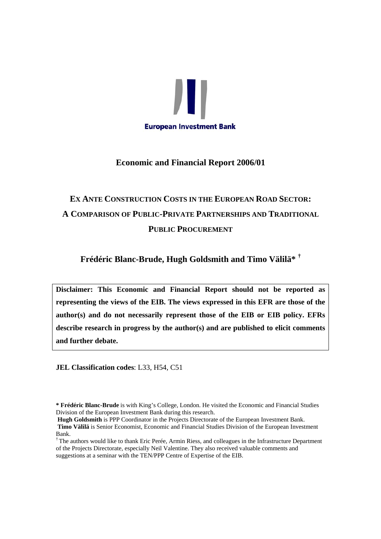

### **Economic and Financial Report 2006/01**

# **EX ANTE CONSTRUCTION COSTS IN THE EUROPEAN ROAD SECTOR: A COMPARISON OF PUBLIC-PRIVATE PARTNERSHIPS AND TRADITIONAL PUBLIC PROCUREMENT**

## **Frédéric Blanc-Brude, Hugh Goldsmith and Timo Välilä\* †**

**Disclaimer: This Economic and Financial Report should not be reported as representing the views of the EIB. The views expressed in this EFR are those of the author(s) and do not necessarily represent those of the EIB or EIB policy. EFRs describe research in progress by the author(s) and are published to elicit comments and further debate.**

**JEL Classification codes**: L33, H54, C51

**<sup>\*</sup> Frédéric Blanc-Brude** is with King's College, London. He visited the Economic and Financial Studies Division of the European Investment Bank during this research.

**Hugh Goldsmith** is PPP Coordinator in the Projects Directorate of the European Investment Bank.  **Timo Välilä** is Senior Economist, Economic and Financial Studies Division of the European Investment Bank.

<sup>†</sup> The authors would like to thank Eric Perée, Armin Riess, and colleagues in the Infrastructure Department of the Projects Directorate, especially Neil Valentine. They also received valuable comments and suggestions at a seminar with the TEN/PPP Centre of Expertise of the EIB.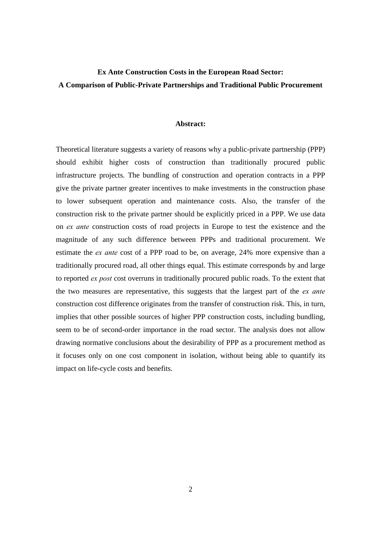# **Ex Ante Construction Costs in the European Road Sector: A Comparison of Public-Private Partnerships and Traditional Public Procurement**

#### **Abstract:**

Theoretical literature suggests a variety of reasons why a public-private partnership (PPP) should exhibit higher costs of construction than traditionally procured public infrastructure projects. The bundling of construction and operation contracts in a PPP give the private partner greater incentives to make investments in the construction phase to lower subsequent operation and maintenance costs. Also, the transfer of the construction risk to the private partner should be explicitly priced in a PPP. We use data on *ex ante* construction costs of road projects in Europe to test the existence and the magnitude of any such difference between PPPs and traditional procurement. We estimate the *ex ante* cost of a PPP road to be, on average, 24% more expensive than a traditionally procured road, all other things equal. This estimate corresponds by and large to reported *ex post* cost overruns in traditionally procured public roads. To the extent that the two measures are representative, this suggests that the largest part of the *ex ante* construction cost difference originates from the transfer of construction risk. This, in turn, implies that other possible sources of higher PPP construction costs, including bundling, seem to be of second-order importance in the road sector. The analysis does not allow drawing normative conclusions about the desirability of PPP as a procurement method as it focuses only on one cost component in isolation, without being able to quantify its impact on life-cycle costs and benefits.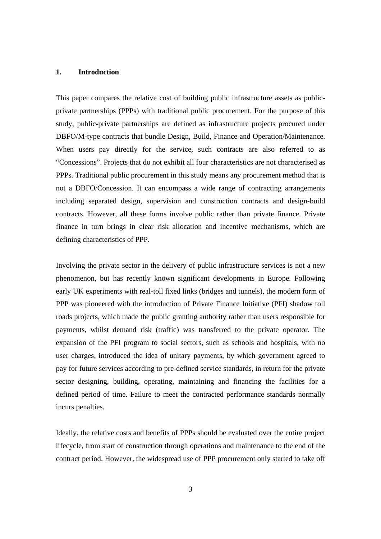### **1. Introduction**

This paper compares the relative cost of building public infrastructure assets as publicprivate partnerships (PPPs) with traditional public procurement. For the purpose of this study, public-private partnerships are defined as infrastructure projects procured under DBFO/M-type contracts that bundle Design, Build, Finance and Operation/Maintenance. When users pay directly for the service, such contracts are also referred to as "Concessions". Projects that do not exhibit all four characteristics are not characterised as PPPs. Traditional public procurement in this study means any procurement method that is not a DBFO/Concession. It can encompass a wide range of contracting arrangements including separated design, supervision and construction contracts and design-build contracts. However, all these forms involve public rather than private finance. Private finance in turn brings in clear risk allocation and incentive mechanisms, which are defining characteristics of PPP.

Involving the private sector in the delivery of public infrastructure services is not a new phenomenon, but has recently known significant developments in Europe. Following early UK experiments with real-toll fixed links (bridges and tunnels), the modern form of PPP was pioneered with the introduction of Private Finance Initiative (PFI) shadow toll roads projects, which made the public granting authority rather than users responsible for payments, whilst demand risk (traffic) was transferred to the private operator. The expansion of the PFI program to social sectors, such as schools and hospitals, with no user charges, introduced the idea of unitary payments, by which government agreed to pay for future services according to pre-defined service standards, in return for the private sector designing, building, operating, maintaining and financing the facilities for a defined period of time. Failure to meet the contracted performance standards normally incurs penalties.

Ideally, the relative costs and benefits of PPPs should be evaluated over the entire project lifecycle, from start of construction through operations and maintenance to the end of the contract period. However, the widespread use of PPP procurement only started to take off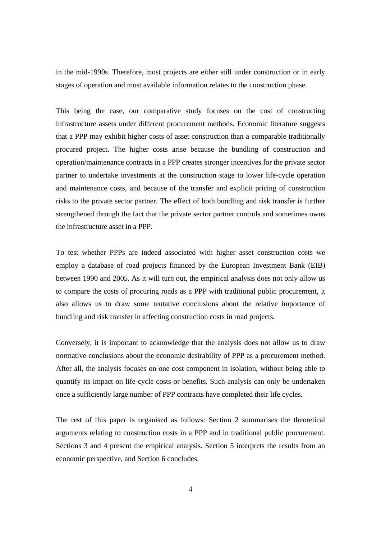in the mid-1990s. Therefore, most projects are either still under construction or in early stages of operation and most available information relates to the construction phase.

This being the case, our comparative study focuses on the cost of constructing infrastructure assets under different procurement methods. Economic literature suggests that a PPP may exhibit higher costs of asset construction than a comparable traditionally procured project. The higher costs arise because the bundling of construction and operation/maintenance contracts in a PPP creates stronger incentives for the private sector partner to undertake investments at the construction stage to lower life-cycle operation and maintenance costs, and because of the transfer and explicit pricing of construction risks to the private sector partner. The effect of both bundling and risk transfer is further strengthened through the fact that the private sector partner controls and sometimes owns the infrastructure asset in a PPP.

To test whether PPPs are indeed associated with higher asset construction costs we employ a database of road projects financed by the European Investment Bank (EIB) between 1990 and 2005. As it will turn out, the empirical analysis does not only allow us to compare the costs of procuring roads as a PPP with traditional public procurement, it also allows us to draw some tentative conclusions about the relative importance of bundling and risk transfer in affecting construction costs in road projects.

Conversely, it is important to acknowledge that the analysis does not allow us to draw normative conclusions about the economic desirability of PPP as a procurement method. After all, the analysis focuses on one cost component in isolation, without being able to quantify its impact on life-cycle costs or benefits. Such analysis can only be undertaken once a sufficiently large number of PPP contracts have completed their life cycles.

The rest of this paper is organised as follows: Section 2 summarises the theoretical arguments relating to construction costs in a PPP and in traditional public procurement. Sections 3 and 4 present the empirical analysis. Section 5 interprets the results from an economic perspective, and Section 6 concludes.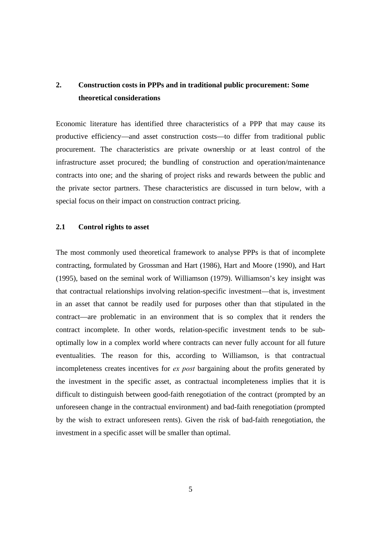# **2. Construction costs in PPPs and in traditional public procurement: Some theoretical considerations**

Economic literature has identified three characteristics of a PPP that may cause its productive efficiency—and asset construction costs—to differ from traditional public procurement. The characteristics are private ownership or at least control of the infrastructure asset procured; the bundling of construction and operation/maintenance contracts into one; and the sharing of project risks and rewards between the public and the private sector partners. These characteristics are discussed in turn below, with a special focus on their impact on construction contract pricing.

#### **2.1 Control rights to asset**

The most commonly used theoretical framework to analyse PPPs is that of incomplete contracting, formulated by Grossman and Hart (1986), Hart and Moore (1990), and Hart (1995), based on the seminal work of Williamson (1979). Williamson's key insight was that contractual relationships involving relation-specific investment—that is, investment in an asset that cannot be readily used for purposes other than that stipulated in the contract—are problematic in an environment that is so complex that it renders the contract incomplete. In other words, relation-specific investment tends to be suboptimally low in a complex world where contracts can never fully account for all future eventualities. The reason for this, according to Williamson, is that contractual incompleteness creates incentives for *ex post* bargaining about the profits generated by the investment in the specific asset, as contractual incompleteness implies that it is difficult to distinguish between good-faith renegotiation of the contract (prompted by an unforeseen change in the contractual environment) and bad-faith renegotiation (prompted by the wish to extract unforeseen rents). Given the risk of bad-faith renegotiation, the investment in a specific asset will be smaller than optimal.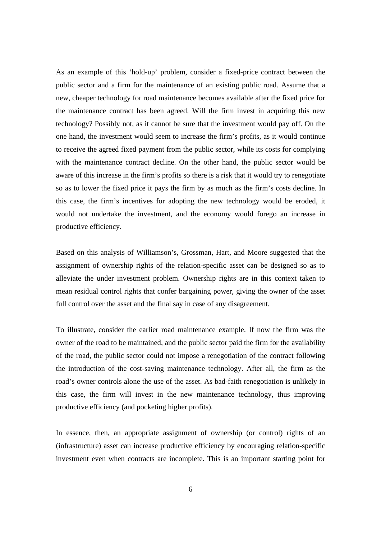As an example of this 'hold-up' problem, consider a fixed-price contract between the public sector and a firm for the maintenance of an existing public road. Assume that a new, cheaper technology for road maintenance becomes available after the fixed price for the maintenance contract has been agreed. Will the firm invest in acquiring this new technology? Possibly not, as it cannot be sure that the investment would pay off. On the one hand, the investment would seem to increase the firm's profits, as it would continue to receive the agreed fixed payment from the public sector, while its costs for complying with the maintenance contract decline. On the other hand, the public sector would be aware of this increase in the firm's profits so there is a risk that it would try to renegotiate so as to lower the fixed price it pays the firm by as much as the firm's costs decline. In this case, the firm's incentives for adopting the new technology would be eroded, it would not undertake the investment, and the economy would forego an increase in productive efficiency.

Based on this analysis of Williamson's, Grossman, Hart, and Moore suggested that the assignment of ownership rights of the relation-specific asset can be designed so as to alleviate the under investment problem. Ownership rights are in this context taken to mean residual control rights that confer bargaining power, giving the owner of the asset full control over the asset and the final say in case of any disagreement.

To illustrate, consider the earlier road maintenance example. If now the firm was the owner of the road to be maintained, and the public sector paid the firm for the availability of the road, the public sector could not impose a renegotiation of the contract following the introduction of the cost-saving maintenance technology. After all, the firm as the road's owner controls alone the use of the asset. As bad-faith renegotiation is unlikely in this case, the firm will invest in the new maintenance technology, thus improving productive efficiency (and pocketing higher profits).

In essence, then, an appropriate assignment of ownership (or control) rights of an (infrastructure) asset can increase productive efficiency by encouraging relation-specific investment even when contracts are incomplete. This is an important starting point for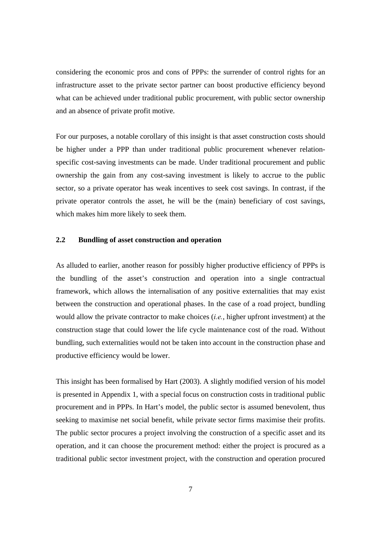considering the economic pros and cons of PPPs: the surrender of control rights for an infrastructure asset to the private sector partner can boost productive efficiency beyond what can be achieved under traditional public procurement, with public sector ownership and an absence of private profit motive.

For our purposes, a notable corollary of this insight is that asset construction costs should be higher under a PPP than under traditional public procurement whenever relationspecific cost-saving investments can be made. Under traditional procurement and public ownership the gain from any cost-saving investment is likely to accrue to the public sector, so a private operator has weak incentives to seek cost savings. In contrast, if the private operator controls the asset, he will be the (main) beneficiary of cost savings, which makes him more likely to seek them.

### **2.2 Bundling of asset construction and operation**

As alluded to earlier, another reason for possibly higher productive efficiency of PPPs is the bundling of the asset's construction and operation into a single contractual framework, which allows the internalisation of any positive externalities that may exist between the construction and operational phases. In the case of a road project, bundling would allow the private contractor to make choices (*i.e.*, higher upfront investment) at the construction stage that could lower the life cycle maintenance cost of the road. Without bundling, such externalities would not be taken into account in the construction phase and productive efficiency would be lower.

This insight has been formalised by Hart (2003). A slightly modified version of his model is presented in Appendix 1, with a special focus on construction costs in traditional public procurement and in PPPs. In Hart's model, the public sector is assumed benevolent, thus seeking to maximise net social benefit, while private sector firms maximise their profits. The public sector procures a project involving the construction of a specific asset and its operation, and it can choose the procurement method: either the project is procured as a traditional public sector investment project, with the construction and operation procured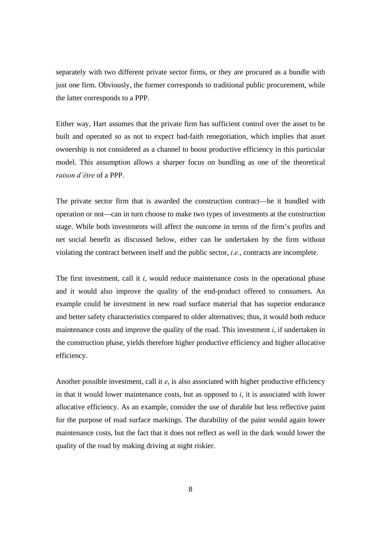separately with two different private sector firms, or they are procured as a bundle with just one firm. Obviously, the former corresponds to traditional public procurement, while the latter corresponds to a PPP.

Either way, Hart assumes that the private firm has sufficient control over the asset to be built and operated so as not to expect bad-faith renegotiation, which implies that asset ownership is not considered as a channel to boost productive efficiency in this particular model. This assumption allows a sharper focus on bundling as one of the theoretical *raison d'être* of a PPP.

The private sector firm that is awarded the construction contract—be it bundled with operation or not—can in turn choose to make two types of investments at the construction stage. While both investments will affect the outcome in terms of the firm's profits and net social benefit as discussed below, either can be undertaken by the firm without violating the contract between itself and the public sector, *i.e.*, contracts are incomplete.

The first investment, call it *i*, would reduce maintenance costs in the operational phase and it would also improve the quality of the end-product offered to consumers. An example could be investment in new road surface material that has superior endurance and better safety characteristics compared to older alternatives; thus, it would both reduce maintenance costs and improve the quality of the road. This investment *i*, if undertaken in the construction phase, yields therefore higher productive efficiency and higher allocative efficiency.

Another possible investment, call it *e*, is also associated with higher productive efficiency in that it would lower maintenance costs, but as opposed to *i*, it is associated with lower allocative efficiency. As an example, consider the use of durable but less reflective paint for the purpose of road surface markings. The durability of the paint would again lower maintenance costs, but the fact that it does not reflect as well in the dark would lower the quality of the road by making driving at night riskier.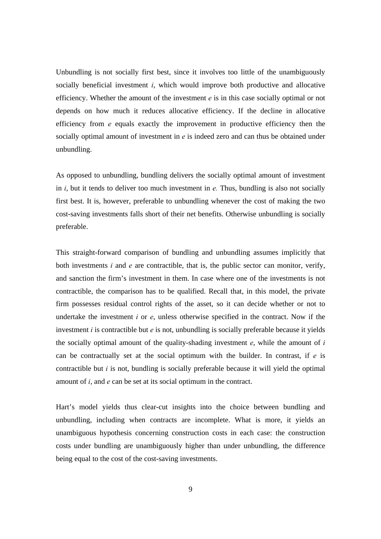Unbundling is not socially first best, since it involves too little of the unambiguously socially beneficial investment *i*, which would improve both productive and allocative efficiency. Whether the amount of the investment *e* is in this case socially optimal or not depends on how much it reduces allocative efficiency. If the decline in allocative efficiency from *e* equals exactly the improvement in productive efficiency then the socially optimal amount of investment in *e* is indeed zero and can thus be obtained under unbundling.

As opposed to unbundling, bundling delivers the socially optimal amount of investment in *i*, but it tends to deliver too much investment in *e.* Thus, bundling is also not socially first best. It is, however, preferable to unbundling whenever the cost of making the two cost-saving investments falls short of their net benefits. Otherwise unbundling is socially preferable.

This straight-forward comparison of bundling and unbundling assumes implicitly that both investments *i* and *e* are contractible, that is, the public sector can monitor, verify, and sanction the firm's investment in them. In case where one of the investments is not contractible, the comparison has to be qualified. Recall that, in this model, the private firm possesses residual control rights of the asset, so it can decide whether or not to undertake the investment *i* or *e*, unless otherwise specified in the contract. Now if the investment *i* is contractible but *e* is not, unbundling is socially preferable because it yields the socially optimal amount of the quality-shading investment *e*, while the amount of *i* can be contractually set at the social optimum with the builder. In contrast, if *e* is contractible but *i* is not, bundling is socially preferable because it will yield the optimal amount of *i*, and *e* can be set at its social optimum in the contract.

Hart's model yields thus clear-cut insights into the choice between bundling and unbundling, including when contracts are incomplete. What is more, it yields an unambiguous hypothesis concerning construction costs in each case: the construction costs under bundling are unambiguously higher than under unbundling, the difference being equal to the cost of the cost-saving investments.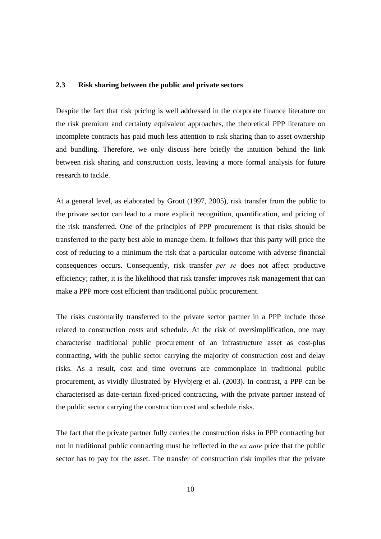#### **2.3 Risk sharing between the public and private sectors**

Despite the fact that risk pricing is well addressed in the corporate finance literature on the risk premium and certainty equivalent approaches, the theoretical PPP literature on incomplete contracts has paid much less attention to risk sharing than to asset ownership and bundling. Therefore, we only discuss here briefly the intuition behind the link between risk sharing and construction costs, leaving a more formal analysis for future research to tackle.

At a general level, as elaborated by Grout (1997, 2005), risk transfer from the public to the private sector can lead to a more explicit recognition, quantification, and pricing of the risk transferred. One of the principles of PPP procurement is that risks should be transferred to the party best able to manage them. It follows that this party will price the cost of reducing to a minimum the risk that a particular outcome with adverse financial consequences occurs. Consequently, risk transfer *per se* does not affect productive efficiency; rather, it is the likelihood that risk transfer improves risk management that can make a PPP more cost efficient than traditional public procurement.

The risks customarily transferred to the private sector partner in a PPP include those related to construction costs and schedule. At the risk of oversimplification, one may characterise traditional public procurement of an infrastructure asset as cost-plus contracting, with the public sector carrying the majority of construction cost and delay risks. As a result, cost and time overruns are commonplace in traditional public procurement, as vividly illustrated by Flyvbjerg et al. (2003). In contrast, a PPP can be characterised as date-certain fixed-priced contracting, with the private partner instead of the public sector carrying the construction cost and schedule risks.

The fact that the private partner fully carries the construction risks in PPP contracting but not in traditional public contracting must be reflected in the *ex ante* price that the public sector has to pay for the asset. The transfer of construction risk implies that the private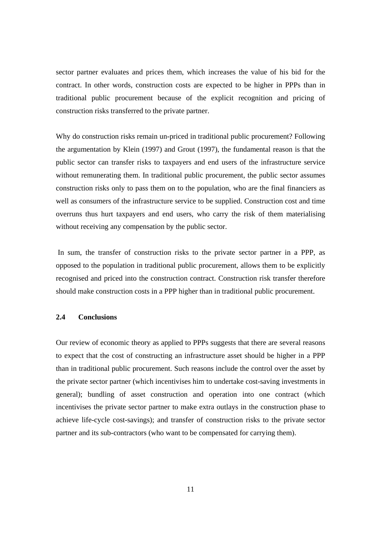sector partner evaluates and prices them, which increases the value of his bid for the contract. In other words, construction costs are expected to be higher in PPPs than in traditional public procurement because of the explicit recognition and pricing of construction risks transferred to the private partner.

Why do construction risks remain un-priced in traditional public procurement? Following the argumentation by Klein (1997) and Grout (1997), the fundamental reason is that the public sector can transfer risks to taxpayers and end users of the infrastructure service without remunerating them. In traditional public procurement, the public sector assumes construction risks only to pass them on to the population, who are the final financiers as well as consumers of the infrastructure service to be supplied. Construction cost and time overruns thus hurt taxpayers and end users, who carry the risk of them materialising without receiving any compensation by the public sector.

 In sum, the transfer of construction risks to the private sector partner in a PPP, as opposed to the population in traditional public procurement, allows them to be explicitly recognised and priced into the construction contract. Construction risk transfer therefore should make construction costs in a PPP higher than in traditional public procurement.

#### **2.4 Conclusions**

Our review of economic theory as applied to PPPs suggests that there are several reasons to expect that the cost of constructing an infrastructure asset should be higher in a PPP than in traditional public procurement. Such reasons include the control over the asset by the private sector partner (which incentivises him to undertake cost-saving investments in general); bundling of asset construction and operation into one contract (which incentivises the private sector partner to make extra outlays in the construction phase to achieve life-cycle cost-savings); and transfer of construction risks to the private sector partner and its sub-contractors (who want to be compensated for carrying them).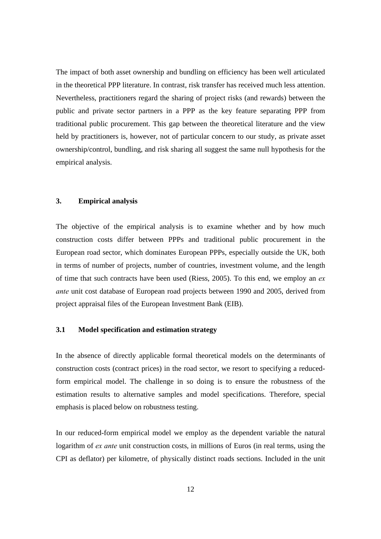The impact of both asset ownership and bundling on efficiency has been well articulated in the theoretical PPP literature. In contrast, risk transfer has received much less attention. Nevertheless, practitioners regard the sharing of project risks (and rewards) between the public and private sector partners in a PPP as the key feature separating PPP from traditional public procurement. This gap between the theoretical literature and the view held by practitioners is, however, not of particular concern to our study, as private asset ownership/control, bundling, and risk sharing all suggest the same null hypothesis for the empirical analysis.

### **3. Empirical analysis**

The objective of the empirical analysis is to examine whether and by how much construction costs differ between PPPs and traditional public procurement in the European road sector, which dominates European PPPs, especially outside the UK, both in terms of number of projects, number of countries, investment volume, and the length of time that such contracts have been used (Riess, 2005). To this end, we employ an *ex ante* unit cost database of European road projects between 1990 and 2005, derived from project appraisal files of the European Investment Bank (EIB).

### **3.1 Model specification and estimation strategy**

In the absence of directly applicable formal theoretical models on the determinants of construction costs (contract prices) in the road sector, we resort to specifying a reducedform empirical model. The challenge in so doing is to ensure the robustness of the estimation results to alternative samples and model specifications. Therefore, special emphasis is placed below on robustness testing.

In our reduced-form empirical model we employ as the dependent variable the natural logarithm of *ex ante* unit construction costs, in millions of Euros (in real terms, using the CPI as deflator) per kilometre, of physically distinct roads sections. Included in the unit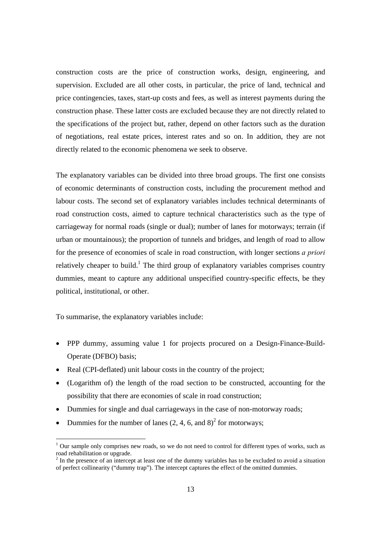construction costs are the price of construction works, design, engineering, and supervision. Excluded are all other costs, in particular, the price of land, technical and price contingencies, taxes, start-up costs and fees, as well as interest payments during the construction phase. These latter costs are excluded because they are not directly related to the specifications of the project but, rather, depend on other factors such as the duration of negotiations, real estate prices, interest rates and so on. In addition, they are not directly related to the economic phenomena we seek to observe.

The explanatory variables can be divided into three broad groups. The first one consists of economic determinants of construction costs, including the procurement method and labour costs. The second set of explanatory variables includes technical determinants of road construction costs, aimed to capture technical characteristics such as the type of carriageway for normal roads (single or dual); number of lanes for motorways; terrain (if urban or mountainous); the proportion of tunnels and bridges, and length of road to allow for the presence of economies of scale in road construction, with longer sections *a priori* relatively cheaper to build.<sup>1</sup> The third group of explanatory variables comprises country dummies, meant to capture any additional unspecified country-specific effects, be they political, institutional, or other.

To summarise, the explanatory variables include:

- PPP dummy, assuming value 1 for projects procured on a Design-Finance-Build-Operate (DFBO) basis;
- Real (CPI-deflated) unit labour costs in the country of the project;
- (Logarithm of) the length of the road section to be constructed, accounting for the possibility that there are economies of scale in road construction;
- Dummies for single and dual carriageways in the case of non-motorway roads;
- Dummies for the number of lanes  $(2, 4, 6, \text{ and } 8)^2$  for motorways;

 $1$  Our sample only comprises new roads, so we do not need to control for different types of works, such as road rehabilitation or upgrade.

 $2<sup>2</sup>$  In the presence of an intercept at least one of the dummy variables has to be excluded to avoid a situation of perfect collinearity ("dummy trap"). The intercept captures the effect of the omitted dummies.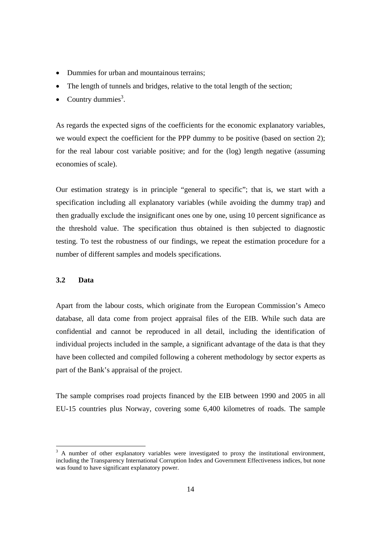- Dummies for urban and mountainous terrains;
- The length of tunnels and bridges, relative to the total length of the section;
- Country dummies<sup>3</sup>.

As regards the expected signs of the coefficients for the economic explanatory variables, we would expect the coefficient for the PPP dummy to be positive (based on section 2); for the real labour cost variable positive; and for the (log) length negative (assuming economies of scale).

Our estimation strategy is in principle "general to specific"; that is, we start with a specification including all explanatory variables (while avoiding the dummy trap) and then gradually exclude the insignificant ones one by one, using 10 percent significance as the threshold value. The specification thus obtained is then subjected to diagnostic testing. To test the robustness of our findings, we repeat the estimation procedure for a number of different samples and models specifications.

### **3.2 Data**

Apart from the labour costs, which originate from the European Commission's Ameco database, all data come from project appraisal files of the EIB. While such data are confidential and cannot be reproduced in all detail, including the identification of individual projects included in the sample, a significant advantage of the data is that they have been collected and compiled following a coherent methodology by sector experts as part of the Bank's appraisal of the project.

The sample comprises road projects financed by the EIB between 1990 and 2005 in all EU-15 countries plus Norway, covering some 6,400 kilometres of roads. The sample

 $3 \text{ A}$  number of other explanatory variables were investigated to proxy the institutional environment, including the Transparency International Corruption Index and Government Effectiveness indices, but none was found to have significant explanatory power.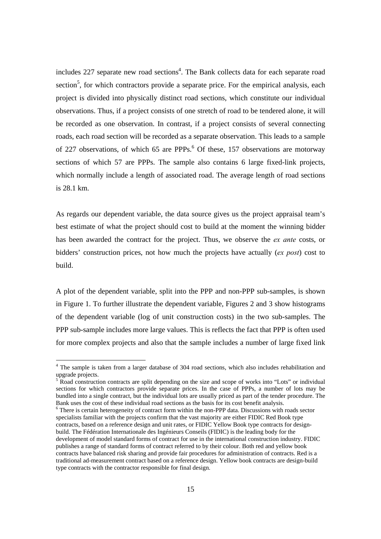includes 227 separate new road sections<sup>4</sup>. The Bank collects data for each separate road section<sup>5</sup>, for which contractors provide a separate price. For the empirical analysis, each project is divided into physically distinct road sections, which constitute our individual observations. Thus, if a project consists of one stretch of road to be tendered alone, it will be recorded as one observation. In contrast, if a project consists of several connecting roads, each road section will be recorded as a separate observation. This leads to a sample of 227 observations, of which  $65$  are PPPs.<sup>6</sup> Of these, 157 observations are motorway sections of which 57 are PPPs. The sample also contains 6 large fixed-link projects, which normally include a length of associated road. The average length of road sections is 28.1 km.

As regards our dependent variable, the data source gives us the project appraisal team's best estimate of what the project should cost to build at the moment the winning bidder has been awarded the contract for the project. Thus, we observe the *ex ante* costs, or bidders' construction prices, not how much the projects have actually (*ex post*) cost to build.

A plot of the dependent variable, split into the PPP and non-PPP sub-samples, is shown in Figure 1. To further illustrate the dependent variable, Figures 2 and 3 show histograms of the dependent variable (log of unit construction costs) in the two sub-samples. The PPP sub-sample includes more large values. This is reflects the fact that PPP is often used for more complex projects and also that the sample includes a number of large fixed link

<sup>&</sup>lt;sup>4</sup> The sample is taken from a larger database of 304 road sections, which also includes rehabilitation and upgrade projects.

<sup>5</sup> Road construction contracts are split depending on the size and scope of works into "Lots" or individual sections for which contractors provide separate prices. In the case of PPPs, a number of lots may be bundled into a single contract, but the individual lots are usually priced as part of the tender procedure. The Bank uses the cost of these individual road sections as the basis for its cost benefit analysis.

<sup>&</sup>lt;sup>6</sup> There is certain heterogeneity of contract form within the non-PPP data. Discussions with roads sector specialists familiar with the projects confirm that the vast majority are either FIDIC Red Book type contracts, based on a reference design and unit rates, or FIDIC Yellow Book type contracts for designbuild. The Fédération Internationale des Ingénieurs Conseils (FIDIC) is the leading body for the development of model standard forms of contract for use in the international construction industry. FIDIC publishes a range of standard forms of contract referred to by their colour. Both red and yellow book contracts have balanced risk sharing and provide fair procedures for administration of contracts. Red is a traditional ad-measurement contract based on a reference design. Yellow book contracts are design-build type contracts with the contractor responsible for final design.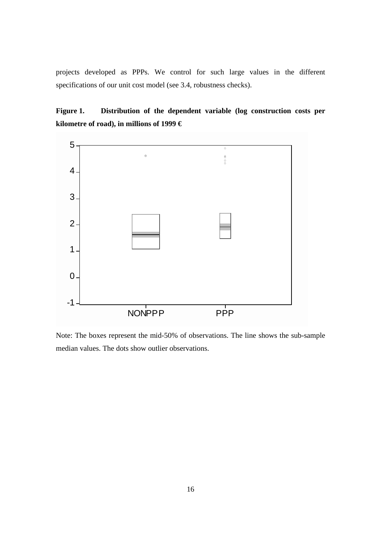projects developed as PPPs. We control for such large values in the different specifications of our unit cost model (see 3.4, robustness checks).

**Figure 1. Distribution of the dependent variable (log construction costs per kilometre of road), in millions of 1999 €**



Note: The boxes represent the mid-50% of observations. The line shows the sub-sample median values. The dots show outlier observations.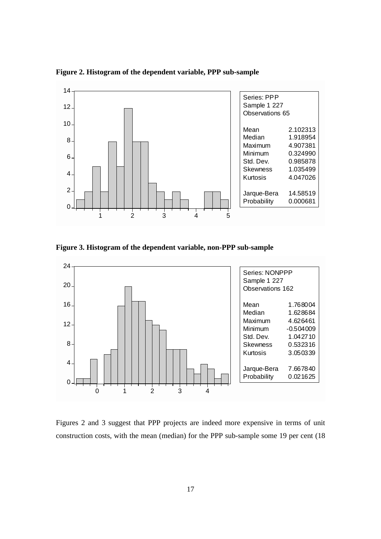

**Figure 2. Histogram of the dependent variable, PPP sub-sample** 

**Figure 3. Histogram of the dependent variable, non-PPP sub-sample** 



Figures 2 and 3 suggest that PPP projects are indeed more expensive in terms of unit construction costs, with the mean (median) for the PPP sub-sample some 19 per cent (18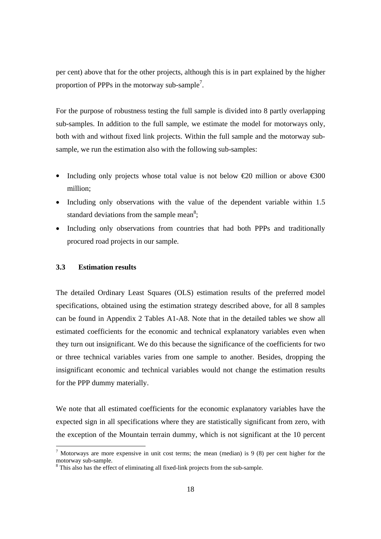per cent) above that for the other projects, although this is in part explained by the higher proportion of PPPs in the motorway sub-sample<sup>7</sup>.

For the purpose of robustness testing the full sample is divided into 8 partly overlapping sub-samples. In addition to the full sample, we estimate the model for motorways only, both with and without fixed link projects. Within the full sample and the motorway subsample, we run the estimation also with the following sub-samples:

- Including only projects whose total value is not below  $\epsilon 20$  million or above  $\epsilon 300$ million;
- Including only observations with the value of the dependent variable within 1.5 standard deviations from the sample mean<sup>8</sup>;
- Including only observations from countries that had both PPPs and traditionally procured road projects in our sample.

### **3.3 Estimation results**

The detailed Ordinary Least Squares (OLS) estimation results of the preferred model specifications, obtained using the estimation strategy described above, for all 8 samples can be found in Appendix 2 Tables A1-A8. Note that in the detailed tables we show all estimated coefficients for the economic and technical explanatory variables even when they turn out insignificant. We do this because the significance of the coefficients for two or three technical variables varies from one sample to another. Besides, dropping the insignificant economic and technical variables would not change the estimation results for the PPP dummy materially.

We note that all estimated coefficients for the economic explanatory variables have the expected sign in all specifications where they are statistically significant from zero, with the exception of the Mountain terrain dummy, which is not significant at the 10 percent

<sup>&</sup>lt;sup>7</sup> Motorways are more expensive in unit cost terms; the mean (median) is 9 (8) per cent higher for the motorway sub-sample.

<sup>&</sup>lt;sup>8</sup> This also has the effect of eliminating all fixed-link projects from the sub-sample.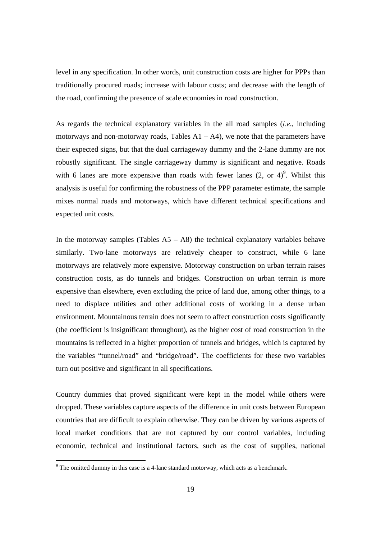level in any specification. In other words, unit construction costs are higher for PPPs than traditionally procured roads; increase with labour costs; and decrease with the length of the road, confirming the presence of scale economies in road construction.

As regards the technical explanatory variables in the all road samples (*i.e*., including motorways and non-motorway roads, Tables  $A1 - A4$ ), we note that the parameters have their expected signs, but that the dual carriageway dummy and the 2-lane dummy are not robustly significant. The single carriageway dummy is significant and negative. Roads with 6 lanes are more expensive than roads with fewer lanes  $(2, or 4)^9$ . Whilst this analysis is useful for confirming the robustness of the PPP parameter estimate, the sample mixes normal roads and motorways, which have different technical specifications and expected unit costs.

In the motorway samples (Tables  $A5 - A8$ ) the technical explanatory variables behave similarly. Two-lane motorways are relatively cheaper to construct, while 6 lane motorways are relatively more expensive. Motorway construction on urban terrain raises construction costs, as do tunnels and bridges. Construction on urban terrain is more expensive than elsewhere, even excluding the price of land due, among other things, to a need to displace utilities and other additional costs of working in a dense urban environment. Mountainous terrain does not seem to affect construction costs significantly (the coefficient is insignificant throughout), as the higher cost of road construction in the mountains is reflected in a higher proportion of tunnels and bridges, which is captured by the variables "tunnel/road" and "bridge/road". The coefficients for these two variables turn out positive and significant in all specifications.

Country dummies that proved significant were kept in the model while others were dropped. These variables capture aspects of the difference in unit costs between European countries that are difficult to explain otherwise. They can be driven by various aspects of local market conditions that are not captured by our control variables, including economic, technical and institutional factors, such as the cost of supplies, national

 $\overline{\phantom{a}}$ 

 $9^9$  The omitted dummy in this case is a 4-lane standard motorway, which acts as a benchmark.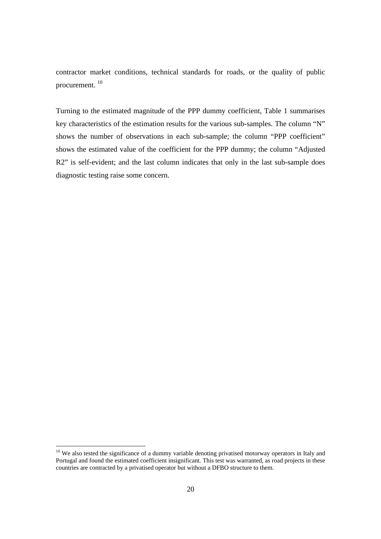contractor market conditions, technical standards for roads, or the quality of public procurement. 10

Turning to the estimated magnitude of the PPP dummy coefficient, Table 1 summarises key characteristics of the estimation results for the various sub-samples. The column "N" shows the number of observations in each sub-sample; the column "PPP coefficient" shows the estimated value of the coefficient for the PPP dummy; the column "Adjusted R2" is self-evident; and the last column indicates that only in the last sub-sample does diagnostic testing raise some concern.

 $10$  We also tested the significance of a dummy variable denoting privatised motorway operators in Italy and Portugal and found the estimated coefficient insignificant. This test was warranted, as road projects in these countries are contracted by a privatised operator but without a DFBO structure to them.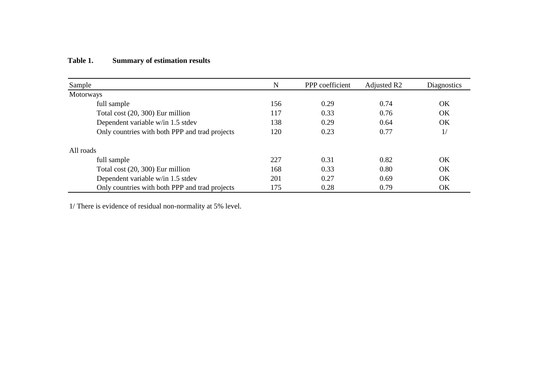## **Table 1. Summary of estimation results**

| Sample                                         | N   | PPP coefficient | Adjusted R <sub>2</sub> | Diagnostics |
|------------------------------------------------|-----|-----------------|-------------------------|-------------|
| Motorways                                      |     |                 |                         |             |
| full sample                                    | 156 | 0.29            | 0.74                    | OK          |
| Total cost (20, 300) Eur million               | 117 | 0.33            | 0.76                    | OK          |
| Dependent variable w/in 1.5 stdev              | 138 | 0.29            | 0.64                    | OK          |
| Only countries with both PPP and trad projects | 120 | 0.23            | 0.77                    | 1/          |
| All roads                                      |     |                 |                         |             |
| full sample                                    | 227 | 0.31            | 0.82                    | <b>OK</b>   |
| Total cost (20, 300) Eur million               | 168 | 0.33            | 0.80                    | OK          |
| Dependent variable w/in 1.5 stdev              | 201 | 0.27            | 0.69                    | OK          |
| Only countries with both PPP and trad projects | 175 | 0.28            | 0.79                    | OK          |

1/ There is evidence of residual non-normality at 5% level.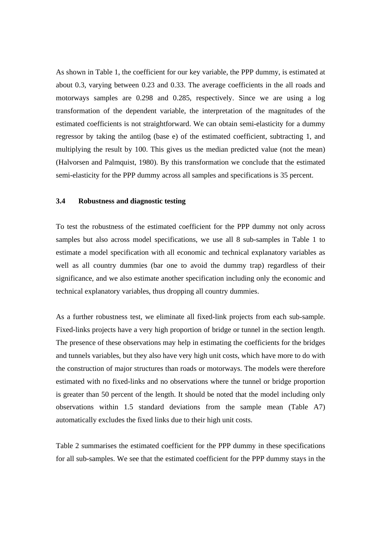As shown in Table 1, the coefficient for our key variable, the PPP dummy, is estimated at about 0.3, varying between 0.23 and 0.33. The average coefficients in the all roads and motorways samples are 0.298 and 0.285, respectively. Since we are using a log transformation of the dependent variable, the interpretation of the magnitudes of the estimated coefficients is not straightforward. We can obtain semi-elasticity for a dummy regressor by taking the antilog (base e) of the estimated coefficient, subtracting 1, and multiplying the result by 100. This gives us the median predicted value (not the mean) (Halvorsen and Palmquist, 1980). By this transformation we conclude that the estimated semi-elasticity for the PPP dummy across all samples and specifications is 35 percent.

### **3.4 Robustness and diagnostic testing**

To test the robustness of the estimated coefficient for the PPP dummy not only across samples but also across model specifications, we use all 8 sub-samples in Table 1 to estimate a model specification with all economic and technical explanatory variables as well as all country dummies (bar one to avoid the dummy trap) regardless of their significance, and we also estimate another specification including only the economic and technical explanatory variables, thus dropping all country dummies.

As a further robustness test, we eliminate all fixed-link projects from each sub-sample. Fixed-links projects have a very high proportion of bridge or tunnel in the section length. The presence of these observations may help in estimating the coefficients for the bridges and tunnels variables, but they also have very high unit costs, which have more to do with the construction of major structures than roads or motorways. The models were therefore estimated with no fixed-links and no observations where the tunnel or bridge proportion is greater than 50 percent of the length. It should be noted that the model including only observations within 1.5 standard deviations from the sample mean (Table A7) automatically excludes the fixed links due to their high unit costs.

Table 2 summarises the estimated coefficient for the PPP dummy in these specifications for all sub-samples. We see that the estimated coefficient for the PPP dummy stays in the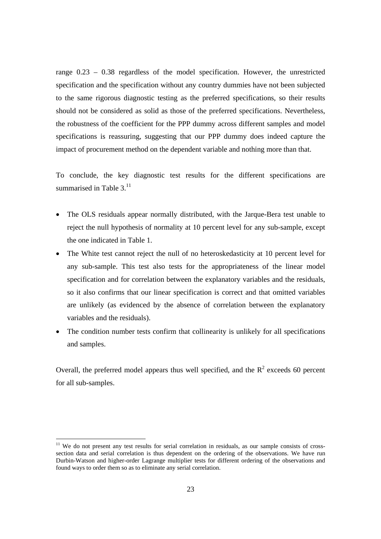range 0.23 – 0.38 regardless of the model specification. However, the unrestricted specification and the specification without any country dummies have not been subjected to the same rigorous diagnostic testing as the preferred specifications, so their results should not be considered as solid as those of the preferred specifications. Nevertheless, the robustness of the coefficient for the PPP dummy across different samples and model specifications is reassuring, suggesting that our PPP dummy does indeed capture the impact of procurement method on the dependent variable and nothing more than that.

To conclude, the key diagnostic test results for the different specifications are summarised in Table 3.<sup>11</sup>

- The OLS residuals appear normally distributed, with the Jarque-Bera test unable to reject the null hypothesis of normality at 10 percent level for any sub-sample, except the one indicated in Table 1.
- The White test cannot reject the null of no heteroskedasticity at 10 percent level for any sub-sample. This test also tests for the appropriateness of the linear model specification and for correlation between the explanatory variables and the residuals, so it also confirms that our linear specification is correct and that omitted variables are unlikely (as evidenced by the absence of correlation between the explanatory variables and the residuals).
- The condition number tests confirm that collinearity is unlikely for all specifications and samples.

Overall, the preferred model appears thus well specified, and the  $R^2$  exceeds 60 percent for all sub-samples.

<sup>&</sup>lt;sup>11</sup> We do not present any test results for serial correlation in residuals, as our sample consists of crosssection data and serial correlation is thus dependent on the ordering of the observations. We have run Durbin-Watson and higher-order Lagrange multiplier tests for different ordering of the observations and found ways to order them so as to eliminate any serial correlation.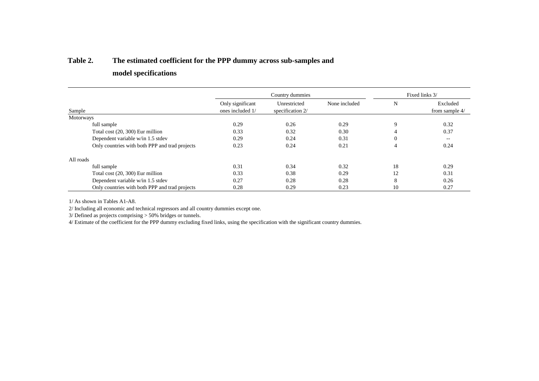### **Table 2. The estimated coefficient for the PPP dummy across sub-samples and**

### **model specifications**

|                                                |                                      | Country dummies                  |               | Fixed links 3/ |                              |
|------------------------------------------------|--------------------------------------|----------------------------------|---------------|----------------|------------------------------|
| Sample                                         | Only significant<br>ones included 1/ | Unrestricted<br>specification 2/ | None included | N              | Excluded<br>from sample $4/$ |
| Motorways                                      |                                      |                                  |               |                |                              |
| full sample                                    | 0.29                                 | 0.26                             | 0.29          | $\Omega$       | 0.32                         |
| Total cost (20, 300) Eur million               | 0.33                                 | 0.32                             | 0.30          |                | 0.37                         |
| Dependent variable w/in 1.5 stdev              | 0.29                                 | 0.24                             | 0.31          |                | $\overline{\phantom{m}}$     |
| Only countries with both PPP and trad projects | 0.23                                 | 0.24                             | 0.21          |                | 0.24                         |
| All roads                                      |                                      |                                  |               |                |                              |
| full sample                                    | 0.31                                 | 0.34                             | 0.32          | 18             | 0.29                         |
| Total cost (20, 300) Eur million               | 0.33                                 | 0.38                             | 0.29          | 12             | 0.31                         |
| Dependent variable w/in 1.5 stdev              | 0.27                                 | 0.28                             | 0.28          | 8              | 0.26                         |
| Only countries with both PPP and trad projects | 0.28                                 | 0.29                             | 0.23          | 10             | 0.27                         |

1/ As shown in Tables A1-A8.

2/ Including all economic and technical regressors and all country dummies except one.

3/ Defined as projects comprising > 50% bridges or tunnels.

4/ Estimate of the coefficient for the PPP dummy excluding fixed links, using the specification with the significant country dummies.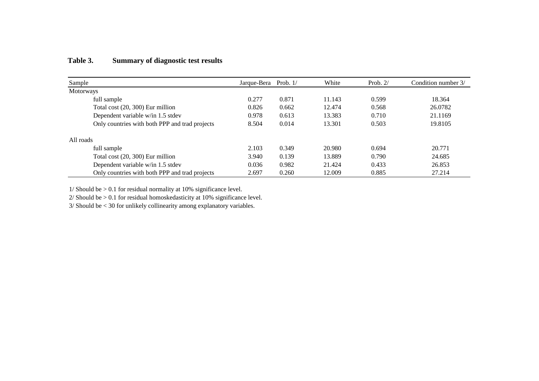| Sample                                         | Jarque-Bera | Prob. $1/$ | White  | Prob. $2/$ | Condition number 3/ |
|------------------------------------------------|-------------|------------|--------|------------|---------------------|
| Motorways                                      |             |            |        |            |                     |
| full sample                                    | 0.277       | 0.871      | 11.143 | 0.599      | 18.364              |
| Total cost (20, 300) Eur million               | 0.826       | 0.662      | 12.474 | 0.568      | 26.0782             |
| Dependent variable w/in 1.5 stdev              | 0.978       | 0.613      | 13.383 | 0.710      | 21.1169             |
| Only countries with both PPP and trad projects | 8.504       | 0.014      | 13.301 | 0.503      | 19.8105             |
| All roads                                      |             |            |        |            |                     |
| full sample                                    | 2.103       | 0.349      | 20.980 | 0.694      | 20.771              |
| Total cost (20, 300) Eur million               | 3.940       | 0.139      | 13.889 | 0.790      | 24.685              |
| Dependent variable w/in 1.5 stdev              | 0.036       | 0.982      | 21.424 | 0.433      | 26.853              |
| Only countries with both PPP and trad projects | 2.697       | 0.260      | 12.009 | 0.885      | 27.214              |

### **Table 3. Summary of diagnostic test results**

1/ Should be > 0.1 for residual normality at 10% significance level.

2/ Should be > 0.1 for residual homoskedasticity at 10% significance level.

3/ Should be < 30 for unlikely collinearity among explanatory variables.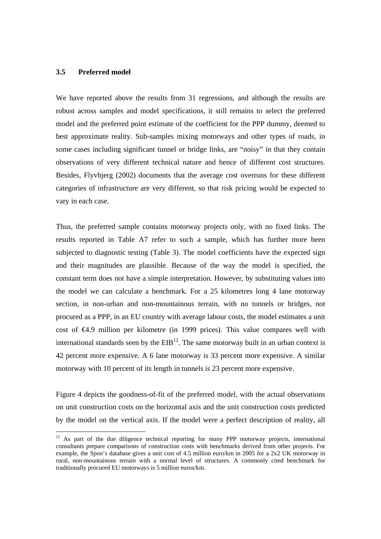### **3.5 Preferred model**

 $\overline{\phantom{a}}$ 

We have reported above the results from 31 regressions, and although the results are robust across samples and model specifications, it still remains to select the preferred model and the preferred point estimate of the coefficient for the PPP dummy, deemed to best approximate reality. Sub-samples mixing motorways and other types of roads, in some cases including significant tunnel or bridge links, are "noisy" in that they contain observations of very different technical nature and hence of different cost structures. Besides, Flyvbjerg (2002) documents that the average cost overruns for these different categories of infrastructure are very different, so that risk pricing would be expected to vary in each case.

Thus, the preferred sample contains motorway projects only, with no fixed links. The results reported in Table A7 refer to such a sample, which has further more been subjected to diagnostic testing (Table 3). The model coefficients have the expected sign and their magnitudes are plausible. Because of the way the model is specified, the constant term does not have a simple interpretation. However, by substituting values into the model we can calculate a benchmark. For a 25 kilometres long 4 lane motorway section, in non-urban and non-mountainous terrain, with no tunnels or bridges, not procured as a PPP, in an EU country with average labour costs, the model estimates a unit cost of €4.9 million per kilometre (in 1999 prices). This value compares well with international standards seen by the  $EIB<sup>12</sup>$ . The same motorway built in an urban context is 42 percent more expensive. A 6 lane motorway is 33 percent more expensive. A similar motorway with 10 percent of its length in tunnels is 23 percent more expensive.

Figure 4 depicts the goodness-of-fit of the preferred model, with the actual observations on unit construction costs on the horizontal axis and the unit construction costs predicted by the model on the vertical axis. If the model were a perfect description of reality, all

 $12$  As part of the due diligence technical reporting for many PPP motorway projects, international consultants prepare comparisons of construction costs with benchmarks derived from other projects. For example, the Spon's database gives a unit cost of 4.5 million euro/km in 2005 for a 2x2 UK motorway in rural, non-mountainous terrain with a normal level of structures. A commonly cited benchmark for traditionally procured EU motorways is 5 million euros/km.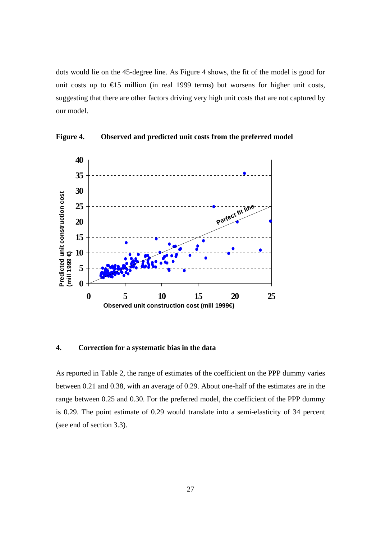dots would lie on the 45-degree line. As Figure 4 shows, the fit of the model is good for unit costs up to  $\epsilon$ 15 million (in real 1999 terms) but worsens for higher unit costs, suggesting that there are other factors driving very high unit costs that are not captured by our model.



**Figure 4. Observed and predicted unit costs from the preferred model** 

### **4. Correction for a systematic bias in the data**

As reported in Table 2, the range of estimates of the coefficient on the PPP dummy varies between 0.21 and 0.38, with an average of 0.29. About one-half of the estimates are in the range between 0.25 and 0.30. For the preferred model, the coefficient of the PPP dummy is 0.29. The point estimate of 0.29 would translate into a semi-elasticity of 34 percent (see end of section 3.3).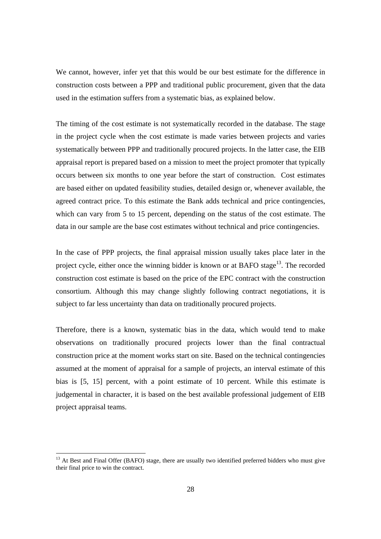We cannot, however, infer yet that this would be our best estimate for the difference in construction costs between a PPP and traditional public procurement, given that the data used in the estimation suffers from a systematic bias, as explained below.

The timing of the cost estimate is not systematically recorded in the database. The stage in the project cycle when the cost estimate is made varies between projects and varies systematically between PPP and traditionally procured projects. In the latter case, the EIB appraisal report is prepared based on a mission to meet the project promoter that typically occurs between six months to one year before the start of construction. Cost estimates are based either on updated feasibility studies, detailed design or, whenever available, the agreed contract price. To this estimate the Bank adds technical and price contingencies, which can vary from 5 to 15 percent, depending on the status of the cost estimate. The data in our sample are the base cost estimates without technical and price contingencies.

In the case of PPP projects, the final appraisal mission usually takes place later in the project cycle, either once the winning bidder is known or at BAFO stage<sup>13</sup>. The recorded construction cost estimate is based on the price of the EPC contract with the construction consortium. Although this may change slightly following contract negotiations, it is subject to far less uncertainty than data on traditionally procured projects.

Therefore, there is a known, systematic bias in the data, which would tend to make observations on traditionally procured projects lower than the final contractual construction price at the moment works start on site. Based on the technical contingencies assumed at the moment of appraisal for a sample of projects, an interval estimate of this bias is [5, 15] percent, with a point estimate of 10 percent. While this estimate is judgemental in character, it is based on the best available professional judgement of EIB project appraisal teams.

<sup>&</sup>lt;sup>13</sup> At Best and Final Offer (BAFO) stage, there are usually two identified preferred bidders who must give their final price to win the contract.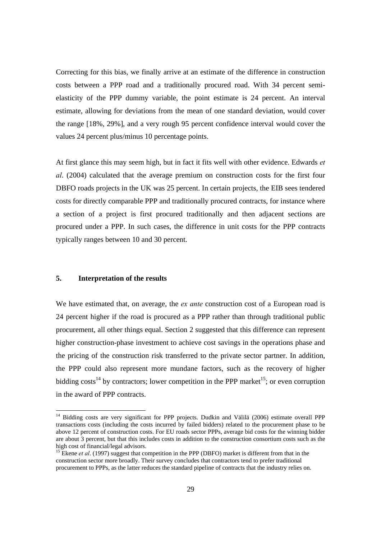Correcting for this bias, we finally arrive at an estimate of the difference in construction costs between a PPP road and a traditionally procured road. With 34 percent semielasticity of the PPP dummy variable, the point estimate is 24 percent. An interval estimate, allowing for deviations from the mean of one standard deviation, would cover the range [18%, 29%], and a very rough 95 percent confidence interval would cover the values 24 percent plus/minus 10 percentage points.

At first glance this may seem high, but in fact it fits well with other evidence. Edwards *et al*. (2004) calculated that the average premium on construction costs for the first four DBFO roads projects in the UK was 25 percent. In certain projects, the EIB sees tendered costs for directly comparable PPP and traditionally procured contracts, for instance where a section of a project is first procured traditionally and then adjacent sections are procured under a PPP. In such cases, the difference in unit costs for the PPP contracts typically ranges between 10 and 30 percent.

### **5. Interpretation of the results**

We have estimated that, on average, the *ex ante* construction cost of a European road is 24 percent higher if the road is procured as a PPP rather than through traditional public procurement, all other things equal. Section 2 suggested that this difference can represent higher construction-phase investment to achieve cost savings in the operations phase and the pricing of the construction risk transferred to the private sector partner. In addition, the PPP could also represent more mundane factors, such as the recovery of higher bidding costs<sup>14</sup> by contractors; lower competition in the PPP market<sup>15</sup>; or even corruption in the award of PPP contracts.

<sup>&</sup>lt;sup>14</sup> Bidding costs are very significant for PPP projects. Dudkin and Välilä (2006) estimate overall PPP transactions costs (including the costs incurred by failed bidders) related to the procurement phase to be above 12 percent of construction costs. For EU roads sector PPPs, average bid costs for the winning bidder are about 3 percent, but that this includes costs in addition to the construction consortium costs such as the high cost of financial/legal advisors.

<sup>&</sup>lt;sup>15</sup> Ekene *et al.* (1997) suggest that competition in the PPP (DBFO) market is different from that in the construction sector more broadly. Their survey concludes that contractors tend to prefer traditional procurement to PPPs, as the latter reduces the standard pipeline of contracts that the industry relies on.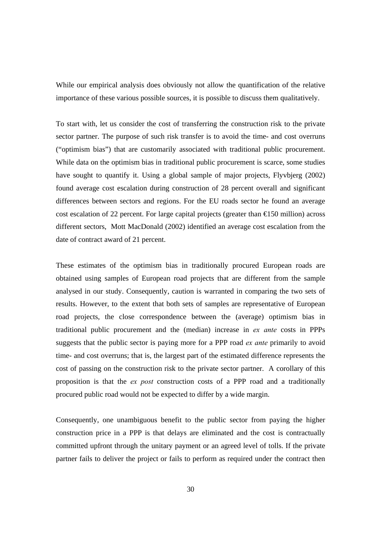While our empirical analysis does obviously not allow the quantification of the relative importance of these various possible sources, it is possible to discuss them qualitatively.

To start with, let us consider the cost of transferring the construction risk to the private sector partner. The purpose of such risk transfer is to avoid the time- and cost overruns ("optimism bias") that are customarily associated with traditional public procurement. While data on the optimism bias in traditional public procurement is scarce, some studies have sought to quantify it. Using a global sample of major projects, Flyvbjerg (2002) found average cost escalation during construction of 28 percent overall and significant differences between sectors and regions. For the EU roads sector he found an average cost escalation of 22 percent. For large capital projects (greater than  $\bigoplus$  50 million) across different sectors, Mott MacDonald (2002) identified an average cost escalation from the date of contract award of 21 percent.

These estimates of the optimism bias in traditionally procured European roads are obtained using samples of European road projects that are different from the sample analysed in our study. Consequently, caution is warranted in comparing the two sets of results. However, to the extent that both sets of samples are representative of European road projects, the close correspondence between the (average) optimism bias in traditional public procurement and the (median) increase in *ex ante* costs in PPPs suggests that the public sector is paying more for a PPP road *ex ante* primarily to avoid time- and cost overruns; that is, the largest part of the estimated difference represents the cost of passing on the construction risk to the private sector partner. A corollary of this proposition is that the *ex post* construction costs of a PPP road and a traditionally procured public road would not be expected to differ by a wide margin.

Consequently, one unambiguous benefit to the public sector from paying the higher construction price in a PPP is that delays are eliminated and the cost is contractually committed upfront through the unitary payment or an agreed level of tolls. If the private partner fails to deliver the project or fails to perform as required under the contract then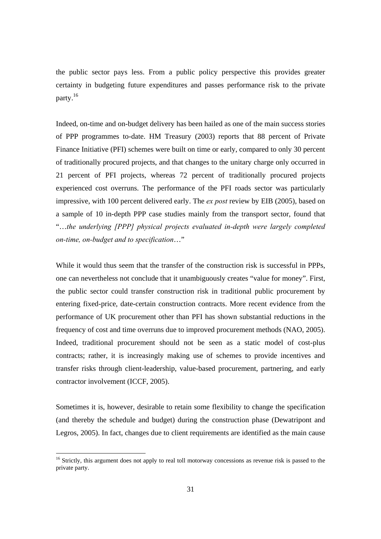the public sector pays less. From a public policy perspective this provides greater certainty in budgeting future expenditures and passes performance risk to the private party.16

Indeed, on-time and on-budget delivery has been hailed as one of the main success stories of PPP programmes to-date. HM Treasury (2003) reports that 88 percent of Private Finance Initiative (PFI) schemes were built on time or early, compared to only 30 percent of traditionally procured projects, and that changes to the unitary charge only occurred in 21 percent of PFI projects, whereas 72 percent of traditionally procured projects experienced cost overruns. The performance of the PFI roads sector was particularly impressive, with 100 percent delivered early. The *ex post* review by EIB (2005), based on a sample of 10 in-depth PPP case studies mainly from the transport sector, found that "…*the underlying [PPP] physical projects evaluated in-depth were largely completed on-time, on-budget and to specification*…"

While it would thus seem that the transfer of the construction risk is successful in PPPs, one can nevertheless not conclude that it unambiguously creates "value for money". First, the public sector could transfer construction risk in traditional public procurement by entering fixed-price, date-certain construction contracts. More recent evidence from the performance of UK procurement other than PFI has shown substantial reductions in the frequency of cost and time overruns due to improved procurement methods (NAO, 2005). Indeed, traditional procurement should not be seen as a static model of cost-plus contracts; rather, it is increasingly making use of schemes to provide incentives and transfer risks through client-leadership, value-based procurement, partnering, and early contractor involvement (ICCF, 2005).

Sometimes it is, however, desirable to retain some flexibility to change the specification (and thereby the schedule and budget) during the construction phase (Dewatripont and Legros, 2005). In fact, changes due to client requirements are identified as the main cause

<sup>&</sup>lt;sup>16</sup> Strictly, this argument does not apply to real toll motorway concessions as revenue risk is passed to the private party.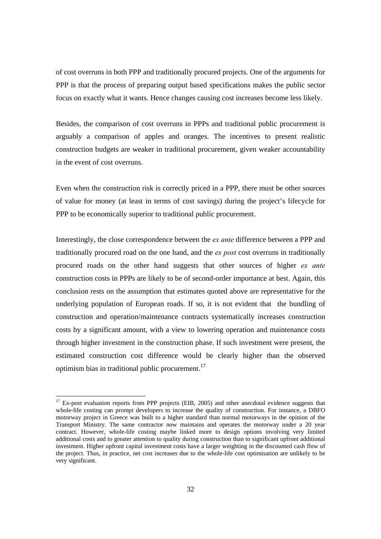of cost overruns in both PPP and traditionally procured projects. One of the arguments for PPP is that the process of preparing output based specifications makes the public sector focus on exactly what it wants. Hence changes causing cost increases become less likely.

Besides, the comparison of cost overruns in PPPs and traditional public procurement is arguably a comparison of apples and oranges. The incentives to present realistic construction budgets are weaker in traditional procurement, given weaker accountability in the event of cost overruns.

Even when the construction risk is correctly priced in a PPP, there must be other sources of value for money (at least in terms of cost savings) during the project's lifecycle for PPP to be economically superior to traditional public procurement.

Interestingly, the close correspondence between the *ex ante* difference between a PPP and traditionally procured road on the one hand, and the *ex post* cost overruns in traditionally procured roads on the other hand suggests that other sources of higher *ex ante* construction costs in PPPs are likely to be of second-order importance at best. Again, this conclusion rests on the assumption that estimates quoted above are representative for the underlying population of European roads. If so, it is not evident that the bundling of construction and operation/maintenance contracts systematically increases construction costs by a significant amount, with a view to lowering operation and maintenance costs through higher investment in the construction phase. If such investment were present, the estimated construction cost difference would be clearly higher than the observed optimism bias in traditional public procurement.<sup>17</sup>

 $17$  Ex-post evaluation reports from PPP projects (EIB, 2005) and other anecdotal evidence suggests that whole-life costing can prompt developers to increase the quality of construction. For instance, a DBFO motorway project in Greece was built to a higher standard than normal motorways in the opinion of the Transport Ministry. The same contractor now maintains and operates the motorway under a 20 year contract. However, whole-life costing maybe linked more to design options involving very limited additional costs and to greater attention to quality during construction than to significant upfront additional investment. Higher upfront capital investment costs have a larger weighting in the discounted cash flow of the project. Thus, in practice, net cost increases due to the whole-life cost optimisation are unlikely to be very significant.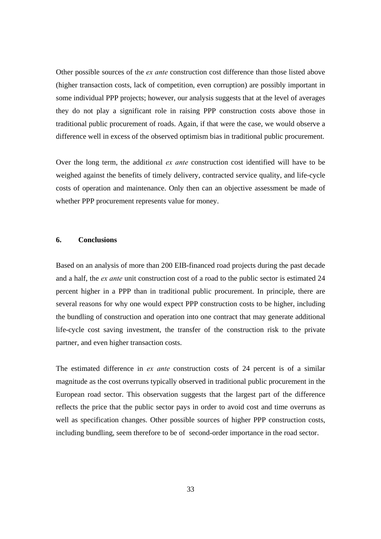Other possible sources of the *ex ante* construction cost difference than those listed above (higher transaction costs, lack of competition, even corruption) are possibly important in some individual PPP projects; however, our analysis suggests that at the level of averages they do not play a significant role in raising PPP construction costs above those in traditional public procurement of roads. Again, if that were the case, we would observe a difference well in excess of the observed optimism bias in traditional public procurement.

Over the long term, the additional *ex ante* construction cost identified will have to be weighed against the benefits of timely delivery, contracted service quality, and life-cycle costs of operation and maintenance. Only then can an objective assessment be made of whether PPP procurement represents value for money.

### **6. Conclusions**

Based on an analysis of more than 200 EIB-financed road projects during the past decade and a half, the *ex ante* unit construction cost of a road to the public sector is estimated 24 percent higher in a PPP than in traditional public procurement. In principle, there are several reasons for why one would expect PPP construction costs to be higher, including the bundling of construction and operation into one contract that may generate additional life-cycle cost saving investment, the transfer of the construction risk to the private partner, and even higher transaction costs.

The estimated difference in *ex ante* construction costs of 24 percent is of a similar magnitude as the cost overruns typically observed in traditional public procurement in the European road sector. This observation suggests that the largest part of the difference reflects the price that the public sector pays in order to avoid cost and time overruns as well as specification changes. Other possible sources of higher PPP construction costs, including bundling, seem therefore to be of second-order importance in the road sector.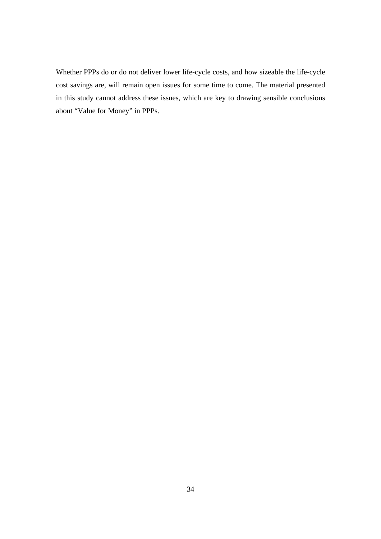Whether PPPs do or do not deliver lower life-cycle costs, and how sizeable the life-cycle cost savings are, will remain open issues for some time to come. The material presented in this study cannot address these issues, which are key to drawing sensible conclusions about "Value for Money" in PPPs.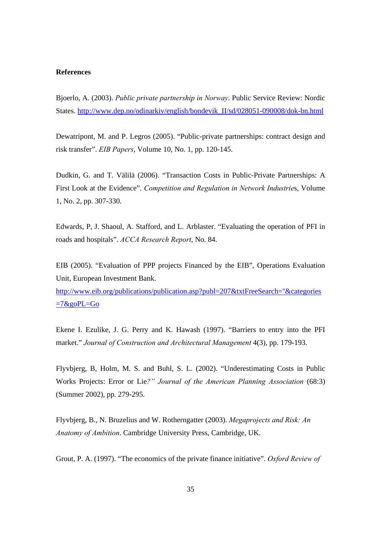### **References**

Bjoerlo, A. (2003). *Public private partnership in Norway*. Public Service Review: Nordic States. http://www.dep.no/odinarkiv/english/bondevik\_II/sd/028051-090008/dok-bn.html

Dewatripont, M. and P. Legros (2005). "Public-private partnerships: contract design and risk transfer". *EIB Papers*, Volume 10, No. 1, pp. 120-145.

Dudkin, G. and T. Välilä (2006). "Transaction Costs in Public-Private Partnerships: A First Look at the Evidence". *Competition and Regulation in Network Industrie*s, Volume 1, No. 2, pp. 307-330.

Edwards, P, J. Shaoul, A. Stafford, and L. Arblaster. "Evaluating the operation of PFI in roads and hospitals". *ACCA Research Report*, No. 84.

EIB (2005). "Evaluation of PPP projects Financed by the EIB", Operations Evaluation Unit, European Investment Bank.

http://www.eib.org/publications/publication.asp?publ=207&txtFreeSearch=''&categories  $=7$ &goPL=Go

Ekene I. Ezulike, J. G. Perry and K. Hawash (1997). "Barriers to entry into the PFI market." *Journal of Construction and Architectural Management* 4(3), pp. 179-193.

Flyvbjerg, B, Holm, M. S. and Buhl, S. L. (2002). "Underestimating Costs in Public Works Projects: Error or Lie*?" Journal of the American Planning Association* (68:3) (Summer 2002), pp. 279-295.

Flyvbjerg, B., N. Bruzelius and W. Rotherngatter (2003). *Megaprojects and Risk: An Anatomy of Ambition*. Cambridge University Press, Cambridge, UK.

Grout, P. A. (1997). "The economics of the private finance initiative". *Oxford Review of*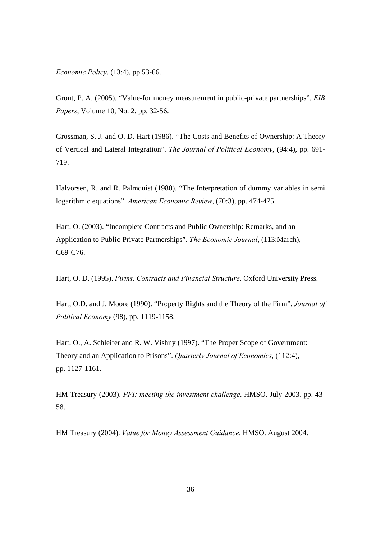*Economic Policy*. (13:4), pp.53-66.

Grout, P. A. (2005). "Value-for money measurement in public-private partnerships". *EIB Papers*, Volume 10, No. 2, pp. 32-56.

Grossman, S. J. and O. D. Hart (1986). "The Costs and Benefits of Ownership: A Theory of Vertical and Lateral Integration". *The Journal of Political Economy*, (94:4), pp. 691- 719.

Halvorsen, R. and R. Palmquist (1980). "The Interpretation of dummy variables in semi logarithmic equations". *American Economic Review*, (70:3), pp. 474-475.

Hart, O. (2003). "Incomplete Contracts and Public Ownership: Remarks, and an Application to Public-Private Partnerships". *The Economic Journal*, (113:March), C69-C76.

Hart, O. D. (1995). *Firms, Contracts and Financial Structure*. Oxford University Press.

Hart, O.D. and J. Moore (1990). "Property Rights and the Theory of the Firm". *Journal of Political Economy* (98), pp. 1119-1158.

Hart, O., A. Schleifer and R. W. Vishny (1997). "The Proper Scope of Government: Theory and an Application to Prisons". *Quarterly Journal of Economics*, (112:4), pp. 1127-1161.

HM Treasury (2003). *PFI: meeting the investment challenge*. HMSO. July 2003. pp. 43- 58.

HM Treasury (2004). *Value for Money Assessment Guidance*. HMSO. August 2004.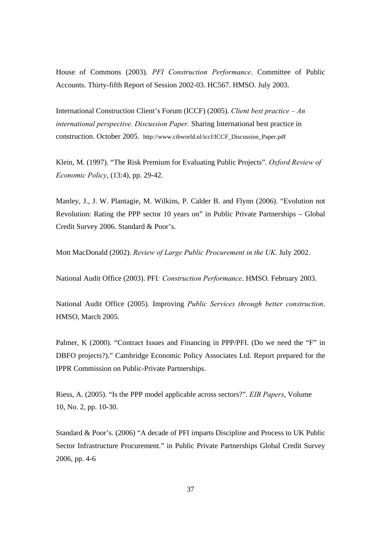House of Commons (2003). *PFI Construction Performance*. Committee of Public Accounts. Thirty-fifth Report of Session 2002-03. HC567. HMSO. July 2003.

International Construction Client's Forum (ICCF) (2005). *Client best practice – An international perspective. Discussion Paper.* Sharing International best practice in construction. October 2005. http://www.cibworld.nl/iccf/ICCF\_Discussion\_Paper.pdf

Klein, M. (1997). "The Risk Premium for Evaluating Public Projects". *Oxford Review of Economic Policy*, (13:4), pp. 29-42.

Manley, J., J. W. Plantagie, M. Wilkins, P. Calder B. and Flynn (2006). "Evolution not Revolution: Rating the PPP sector 10 years on" in Public Private Partnerships – Global Credit Survey 2006. Standard & Poor's.

Mott MacDonald (2002). *Review of Large Public Procurement in the UK*. July 2002.

National Audit Office (2003). PFI*: Construction Performance*. HMSO. February 2003.

National Audit Office (2005). Improving *Public Services through better construction*. HMSO, March 2005.

Palmer, K (2000). "Contract Issues and Financing in PPP/PFI. (Do we need the "F" in DBFO projects?)." Cambridge Economic Policy Associates Ltd. Report prepared for the IPPR Commission on Public-Private Partnerships.

Riess, A. (2005). "Is the PPP model applicable across sectors?". *EIB Papers*, Volume 10, No. 2, pp. 10-30.

Standard & Poor's. (2006) "A decade of PFI imparts Discipline and Process to UK Public Sector Infrastructure Procurement." in Public Private Partnerships Global Credit Survey 2006, pp. 4-6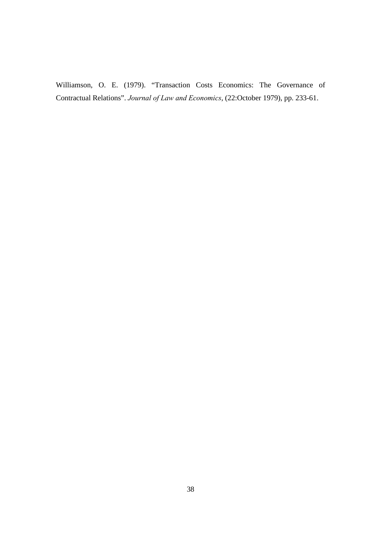Williamson, O. E. (1979). "Transaction Costs Economics: The Governance of Contractual Relations". *Journal of Law and Economics*, (22:October 1979), pp. 233-61.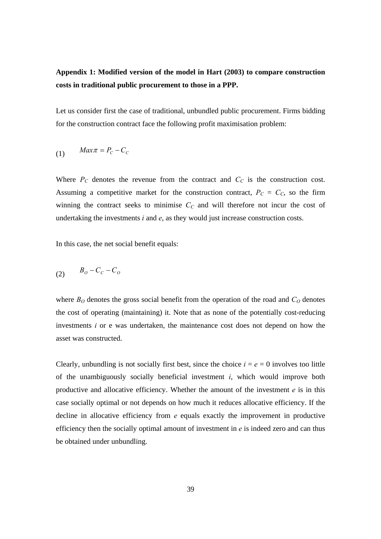# **Appendix 1: Modified version of the model in Hart (2003) to compare construction costs in traditional public procurement to those in a PPP.**

Let us consider first the case of traditional, unbundled public procurement. Firms bidding for the construction contract face the following profit maximisation problem:

$$
(1) \qquad \text{Max}\pi = P_c - C_c
$$

Where  $P_C$  denotes the revenue from the contract and  $C_C$  is the construction cost. Assuming a competitive market for the construction contract,  $P_C = C_C$ , so the firm winning the contract seeks to minimise  $C<sub>C</sub>$  and will therefore not incur the cost of undertaking the investments *i* and *e*, as they would just increase construction costs.

In this case, the net social benefit equals:

$$
(2) \qquad B_o - C_c - C_o
$$

where  $B<sub>O</sub>$  denotes the gross social benefit from the operation of the road and  $C<sub>O</sub>$  denotes the cost of operating (maintaining) it. Note that as none of the potentially cost-reducing investments *i* or e was undertaken, the maintenance cost does not depend on how the asset was constructed.

Clearly, unbundling is not socially first best, since the choice  $i = e = 0$  involves too little of the unambiguously socially beneficial investment *i*, which would improve both productive and allocative efficiency. Whether the amount of the investment *e* is in this case socially optimal or not depends on how much it reduces allocative efficiency. If the decline in allocative efficiency from *e* equals exactly the improvement in productive efficiency then the socially optimal amount of investment in *e* is indeed zero and can thus be obtained under unbundling.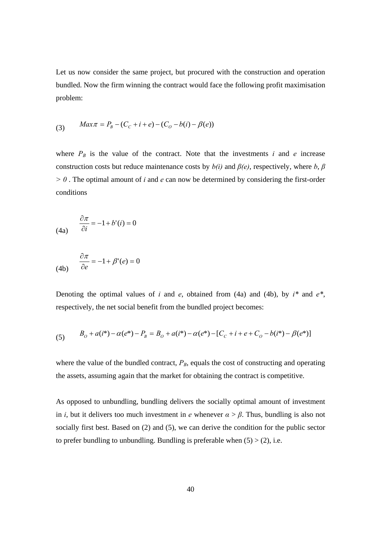Let us now consider the same project, but procured with the construction and operation bundled. Now the firm winning the contract would face the following profit maximisation problem:

(3) 
$$
Max \pi = P_B - (C_C + i + e) - (C_O - b(i) - \beta(e))
$$

where  $P_B$  is the value of the contract. Note that the investments *i* and *e* increase construction costs but reduce maintenance costs by *b(i)* and *β(e)*, respectively, where *b*, *β > 0* . The optimal amount of *i* and *e* can now be determined by considering the first-order conditions

$$
\frac{\partial \pi}{\partial i} = -1 + b'(i) = 0
$$

(4b) 
$$
\frac{\partial \pi}{\partial e} = -1 + \beta'(e) = 0
$$

Denoting the optimal values of *i* and *e*, obtained from (4a) and (4b), by *i\** and *e\**, respectively, the net social benefit from the bundled project becomes:

(5) 
$$
B_0 + a(i^*) - \alpha(e^*) - P_B = B_0 + a(i^*) - \alpha(e^*) - [C_c + i + e + C_0 - b(i^*) - \beta(e^*)]
$$

where the value of the bundled contract,  $P_B$ , equals the cost of constructing and operating the assets, assuming again that the market for obtaining the contract is competitive.

As opposed to unbundling, bundling delivers the socially optimal amount of investment in *i*, but it delivers too much investment in *e* whenever  $\alpha > \beta$ . Thus, bundling is also not socially first best. Based on (2) and (5), we can derive the condition for the public sector to prefer bundling to unbundling. Bundling is preferable when  $(5) > (2)$ , i.e.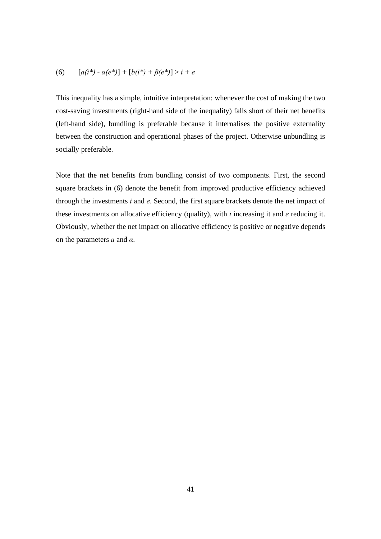(6) 
$$
[a(i^*) - a(e^*)] + [b(i^*) + \beta(e^*)] > i + e
$$

This inequality has a simple, intuitive interpretation: whenever the cost of making the two cost-saving investments (right-hand side of the inequality) falls short of their net benefits (left-hand side), bundling is preferable because it internalises the positive externality between the construction and operational phases of the project. Otherwise unbundling is socially preferable.

Note that the net benefits from bundling consist of two components. First, the second square brackets in (6) denote the benefit from improved productive efficiency achieved through the investments *i* and *e*. Second, the first square brackets denote the net impact of these investments on allocative efficiency (quality), with *i* increasing it and *e* reducing it. Obviously, whether the net impact on allocative efficiency is positive or negative depends on the parameters *a* and *α*.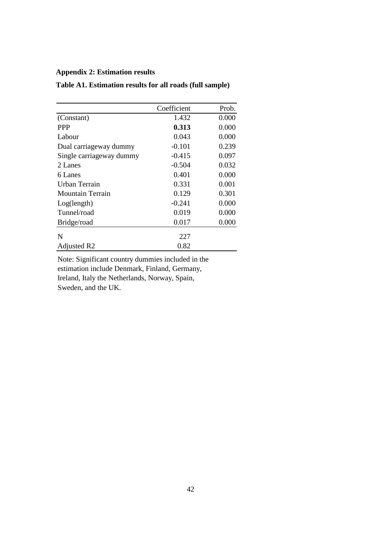### **Appendix 2: Estimation results**

## **Table A1. Estimation results for all roads (full sample)**

|                          | Coefficient | Prob. |
|--------------------------|-------------|-------|
| (Constant)               | 1.432       | 0.000 |
| <b>PPP</b>               | 0.313       | 0.000 |
| Labour                   | 0.043       | 0.000 |
| Dual carriageway dummy   | $-0.101$    | 0.239 |
| Single carriageway dummy | $-0.415$    | 0.097 |
| 2 Lanes                  | $-0.504$    | 0.032 |
| 6 Lanes                  | 0.401       | 0.000 |
| Urban Terrain            | 0.331       | 0.001 |
| <b>Mountain Terrain</b>  | 0.129       | 0.301 |
| Log(length)              | $-0.241$    | 0.000 |
| Tunnel/road              | 0.019       | 0.000 |
| Bridge/road              | 0.017       | 0.000 |
| N                        | 227         |       |
| Adjusted R <sub>2</sub>  | 0.82        |       |

Note: Significant country dummies included in the estimation include Denmark, Finland, Germany, Ireland, Italy the Netherlands, Norway, Spain, Sweden, and the UK.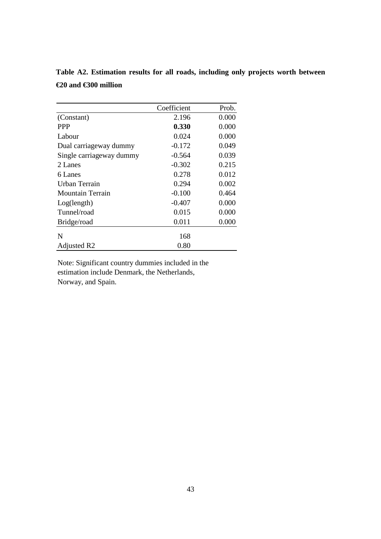**Table A2. Estimation results for all roads, including only projects worth between €20 and €300 million**

|                          | Coefficient | Prob. |
|--------------------------|-------------|-------|
| (Constant)               | 2.196       | 0.000 |
| <b>PPP</b>               | 0.330       | 0.000 |
| Labour                   | 0.024       | 0.000 |
| Dual carriageway dummy   | $-0.172$    | 0.049 |
| Single carriageway dummy | $-0.564$    | 0.039 |
| 2 Lanes                  | $-0.302$    | 0.215 |
| 6 Lanes                  | 0.278       | 0.012 |
| Urban Terrain            | 0.294       | 0.002 |
| Mountain Terrain         | $-0.100$    | 0.464 |
| Log(length)              | $-0.407$    | 0.000 |
| Tunnel/road              | 0.015       | 0.000 |
| Bridge/road              | 0.011       | 0.000 |
| N                        | 168         |       |
| Adjusted R <sub>2</sub>  | 0.80        |       |

Note: Significant country dummies included in the estimation include Denmark, the Netherlands, Norway, and Spain.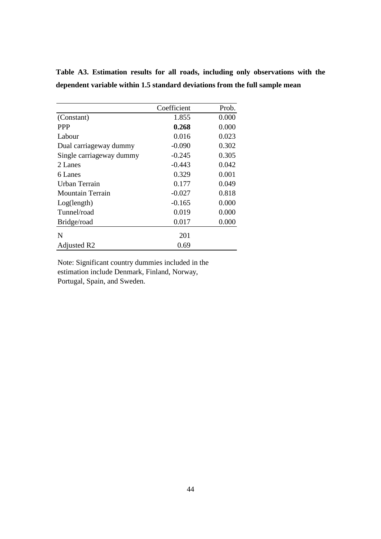**Table A3. Estimation results for all roads, including only observations with the dependent variable within 1.5 standard deviations from the full sample mean**

|                          | Coefficient | Prob. |
|--------------------------|-------------|-------|
| (Constant)               | 1.855       | 0.000 |
| <b>PPP</b>               | 0.268       | 0.000 |
| Labour                   | 0.016       | 0.023 |
| Dual carriageway dummy   | $-0.090$    | 0.302 |
| Single carriageway dummy | $-0.245$    | 0.305 |
| 2 Lanes                  | $-0.443$    | 0.042 |
| 6 Lanes                  | 0.329       | 0.001 |
| Urban Terrain            | 0.177       | 0.049 |
| Mountain Terrain         | $-0.027$    | 0.818 |
| Log(length)              | $-0.165$    | 0.000 |
| Tunnel/road              | 0.019       | 0.000 |
| Bridge/road              | 0.017       | 0.000 |
| N                        | 201         |       |
| Adjusted R <sub>2</sub>  | 0.69        |       |

Note: Significant country dummies included in the estimation include Denmark, Finland, Norway, Portugal, Spain, and Sweden.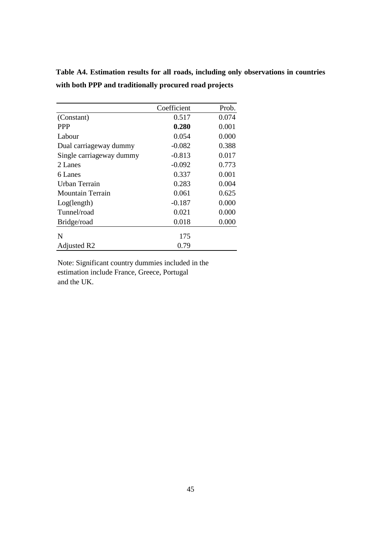**Table A4. Estimation results for all roads, including only observations in countries with both PPP and traditionally procured road projects** Coefficient Prob.

|                          | Coefficient | Prob. |
|--------------------------|-------------|-------|
| (Constant)               | 0.517       | 0.074 |
| <b>PPP</b>               | 0.280       | 0.001 |
| Labour                   | 0.054       | 0.000 |
| Dual carriageway dummy   | $-0.082$    | 0.388 |
| Single carriageway dummy | $-0.813$    | 0.017 |
| 2 Lanes                  | $-0.092$    | 0.773 |
| 6 Lanes                  | 0.337       | 0.001 |
| Urban Terrain            | 0.283       | 0.004 |
| Mountain Terrain         | 0.061       | 0.625 |
| Log(length)              | $-0.187$    | 0.000 |
| Tunnel/road              | 0.021       | 0.000 |
| Bridge/road              | 0.018       | 0.000 |
| N                        | 175         |       |
| Adjusted R <sub>2</sub>  | 0.79        |       |

Note: Significant country dummies included in the estimation include France, Greece, Portugal and the UK.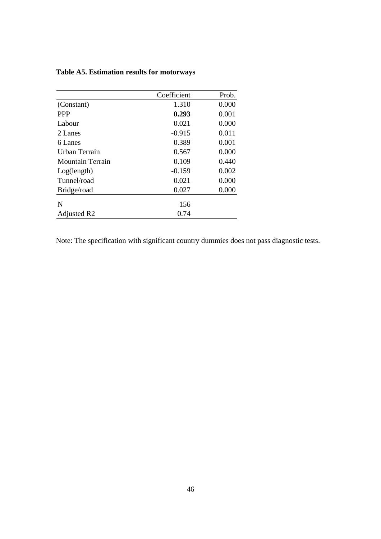|                         | Coefficient | Prob. |
|-------------------------|-------------|-------|
| (Constant)              | 1.310       | 0.000 |
| <b>PPP</b>              | 0.293       | 0.001 |
| Labour                  | 0.021       | 0.000 |
| 2 Lanes                 | $-0.915$    | 0.011 |
| 6 Lanes                 | 0.389       | 0.001 |
| Urban Terrain           | 0.567       | 0.000 |
| <b>Mountain Terrain</b> | 0.109       | 0.440 |
| Log(length)             | $-0.159$    | 0.002 |
| Tunnel/road             | 0.021       | 0.000 |
| Bridge/road             | 0.027       | 0.000 |
| N                       | 156         |       |
| Adjusted R2             | 0.74        |       |

# **Table A5. Estimation results for motorways**

Note: The specification with significant country dummies does not pass diagnostic tests.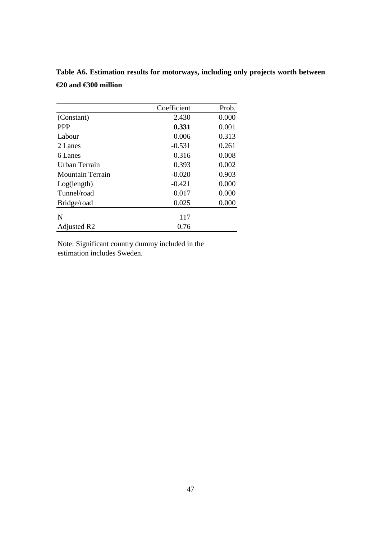**Table A6. Estimation results for motorways, including only projects worth between €20 and €300 million**

|                         | Coefficient | Prob. |
|-------------------------|-------------|-------|
| (Constant)              | 2.430       | 0.000 |
| <b>PPP</b>              | 0.331       | 0.001 |
| Labour                  | 0.006       | 0.313 |
| 2 Lanes                 | $-0.531$    | 0.261 |
| 6 Lanes                 | 0.316       | 0.008 |
| Urban Terrain           | 0.393       | 0.002 |
| Mountain Terrain        | $-0.020$    | 0.903 |
| Log(length)             | $-0.421$    | 0.000 |
| Tunnel/road             | 0.017       | 0.000 |
| Bridge/road             | 0.025       | 0.000 |
| N                       | 117         |       |
| Adjusted R <sub>2</sub> | 0.76        |       |

Note: Significant country dummy included in the estimation includes Sweden.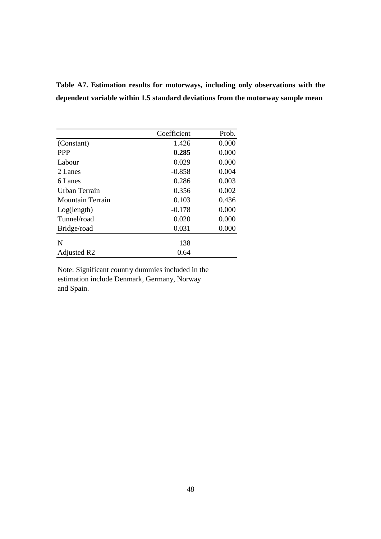**Table A7. Estimation results for motorways, including only observations with the dependent variable within 1.5 standard deviations from the motorway sample mean** 

|                         | Coefficient | Prob. |
|-------------------------|-------------|-------|
| (Constant)              | 1.426       | 0.000 |
| <b>PPP</b>              | 0.285       | 0.000 |
| Labour                  | 0.029       | 0.000 |
| 2 Lanes                 | $-0.858$    | 0.004 |
| 6 Lanes                 | 0.286       | 0.003 |
| Urban Terrain           | 0.356       | 0.002 |
| <b>Mountain Terrain</b> | 0.103       | 0.436 |
| Log(length)             | $-0.178$    | 0.000 |
| Tunnel/road             | 0.020       | 0.000 |
| Bridge/road             | 0.031       | 0.000 |
| N                       | 138         |       |
| Adjusted R <sub>2</sub> | 0.64        |       |

Note: Significant country dummies included in the estimation include Denmark, Germany, Norway and Spain.